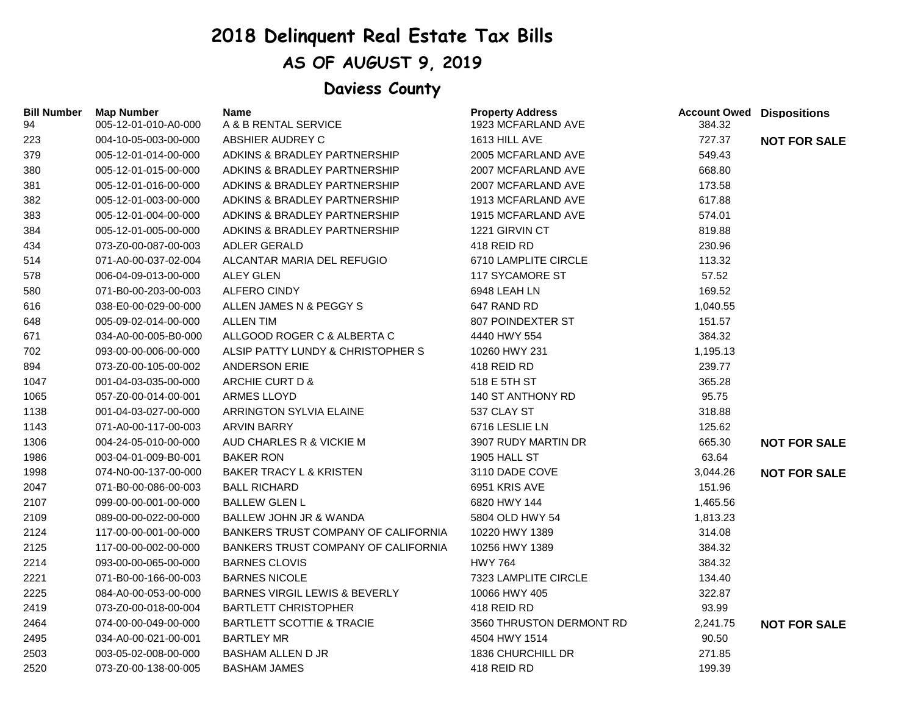## **2018 Delinquent Real Estate Tax Bills**

## **AS OF AUGUST 9, 2019**

## **Daviess County**

| <b>Bill Number</b><br>94 | <b>Map Number</b><br>005-12-01-010-A0-000 | Name<br>A & B RENTAL SERVICE               | <b>Property Address</b><br>1923 MCFARLAND AVE | <b>Account Owed Dispositions</b><br>384.32 |                     |
|--------------------------|-------------------------------------------|--------------------------------------------|-----------------------------------------------|--------------------------------------------|---------------------|
| 223                      | 004-10-05-003-00-000                      | ABSHIER AUDREY C                           | 1613 HILL AVE                                 | 727.37                                     | <b>NOT FOR SALE</b> |
| 379                      | 005-12-01-014-00-000                      | ADKINS & BRADLEY PARTNERSHIP               | 2005 MCFARLAND AVE                            | 549.43                                     |                     |
| 380                      | 005-12-01-015-00-000                      | ADKINS & BRADLEY PARTNERSHIP               | 2007 MCFARLAND AVE                            | 668.80                                     |                     |
| 381                      | 005-12-01-016-00-000                      | ADKINS & BRADLEY PARTNERSHIP               | 2007 MCFARLAND AVE                            | 173.58                                     |                     |
| 382                      | 005-12-01-003-00-000                      | ADKINS & BRADLEY PARTNERSHIP               | 1913 MCFARLAND AVE                            | 617.88                                     |                     |
| 383                      | 005-12-01-004-00-000                      | ADKINS & BRADLEY PARTNERSHIP               | 1915 MCFARLAND AVE                            | 574.01                                     |                     |
| 384                      | 005-12-01-005-00-000                      | ADKINS & BRADLEY PARTNERSHIP               | 1221 GIRVIN CT                                | 819.88                                     |                     |
| 434                      | 073-Z0-00-087-00-003                      | <b>ADLER GERALD</b>                        | 418 REID RD                                   | 230.96                                     |                     |
| 514                      | 071-A0-00-037-02-004                      | ALCANTAR MARIA DEL REFUGIO                 | 6710 LAMPLITE CIRCLE                          | 113.32                                     |                     |
| 578                      | 006-04-09-013-00-000                      | <b>ALEY GLEN</b>                           | <b>117 SYCAMORE ST</b>                        | 57.52                                      |                     |
| 580                      | 071-B0-00-203-00-003                      | <b>ALFERO CINDY</b>                        | 6948 LEAH LN                                  | 169.52                                     |                     |
| 616                      | 038-E0-00-029-00-000                      | ALLEN JAMES N & PEGGY S                    | 647 RAND RD                                   | 1,040.55                                   |                     |
| 648                      | 005-09-02-014-00-000                      | <b>ALLEN TIM</b>                           | 807 POINDEXTER ST                             | 151.57                                     |                     |
| 671                      | 034-A0-00-005-B0-000                      | ALLGOOD ROGER C & ALBERTA C                | 4440 HWY 554                                  | 384.32                                     |                     |
| 702                      | 093-00-00-006-00-000                      | ALSIP PATTY LUNDY & CHRISTOPHER S          | 10260 HWY 231                                 | 1,195.13                                   |                     |
| 894                      | 073-Z0-00-105-00-002                      | <b>ANDERSON ERIE</b>                       | 418 REID RD                                   | 239.77                                     |                     |
| 1047                     | 001-04-03-035-00-000                      | ARCHIE CURT D &                            | 518 E 5TH ST                                  | 365.28                                     |                     |
| 1065                     | 057-Z0-00-014-00-001                      | <b>ARMES LLOYD</b>                         | 140 ST ANTHONY RD                             | 95.75                                      |                     |
| 1138                     | 001-04-03-027-00-000                      | ARRINGTON SYLVIA ELAINE                    | 537 CLAY ST                                   | 318.88                                     |                     |
| 1143                     | 071-A0-00-117-00-003                      | <b>ARVIN BARRY</b>                         | 6716 LESLIE LN                                | 125.62                                     |                     |
| 1306                     | 004-24-05-010-00-000                      | AUD CHARLES R & VICKIE M                   | 3907 RUDY MARTIN DR                           | 665.30                                     | <b>NOT FOR SALE</b> |
| 1986                     | 003-04-01-009-B0-001                      | <b>BAKER RON</b>                           | <b>1905 HALL ST</b>                           | 63.64                                      |                     |
| 1998                     | 074-N0-00-137-00-000                      | <b>BAKER TRACY L &amp; KRISTEN</b>         | 3110 DADE COVE                                | 3,044.26                                   | <b>NOT FOR SALE</b> |
| 2047                     | 071-B0-00-086-00-003                      | <b>BALL RICHARD</b>                        | 6951 KRIS AVE                                 | 151.96                                     |                     |
| 2107                     | 099-00-00-001-00-000                      | <b>BALLEW GLEN L</b>                       | 6820 HWY 144                                  | 1,465.56                                   |                     |
| 2109                     | 089-00-00-022-00-000                      | <b>BALLEW JOHN JR &amp; WANDA</b>          | 5804 OLD HWY 54                               | 1,813.23                                   |                     |
| 2124                     | 117-00-00-001-00-000                      | <b>BANKERS TRUST COMPANY OF CALIFORNIA</b> | 10220 HWY 1389                                | 314.08                                     |                     |
| 2125                     | 117-00-00-002-00-000                      | <b>BANKERS TRUST COMPANY OF CALIFORNIA</b> | 10256 HWY 1389                                | 384.32                                     |                     |
| 2214                     | 093-00-00-065-00-000                      | <b>BARNES CLOVIS</b>                       | <b>HWY 764</b>                                | 384.32                                     |                     |
| 2221                     | 071-B0-00-166-00-003                      | <b>BARNES NICOLE</b>                       | 7323 LAMPLITE CIRCLE                          | 134.40                                     |                     |
| 2225                     | 084-A0-00-053-00-000                      | <b>BARNES VIRGIL LEWIS &amp; BEVERLY</b>   | 10066 HWY 405                                 | 322.87                                     |                     |
| 2419                     | 073-Z0-00-018-00-004                      | <b>BARTLETT CHRISTOPHER</b>                | 418 REID RD                                   | 93.99                                      |                     |
| 2464                     | 074-00-00-049-00-000                      | <b>BARTLETT SCOTTIE &amp; TRACIE</b>       | 3560 THRUSTON DERMONT RD                      | 2,241.75                                   | <b>NOT FOR SALE</b> |
| 2495                     | 034-A0-00-021-00-001                      | <b>BARTLEY MR</b>                          | 4504 HWY 1514                                 | 90.50                                      |                     |
| 2503                     | 003-05-02-008-00-000                      | <b>BASHAM ALLEN D JR</b>                   | 1836 CHURCHILL DR                             | 271.85                                     |                     |
| 2520                     | 073-Z0-00-138-00-005                      | <b>BASHAM JAMES</b>                        | 418 REID RD                                   | 199.39                                     |                     |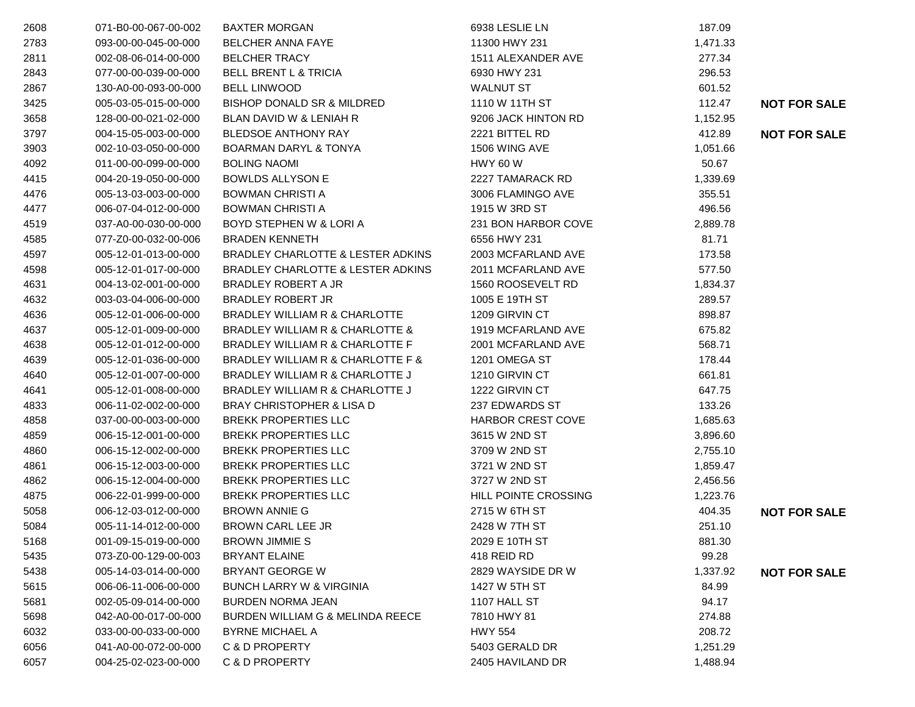| 2608 | 071-B0-00-067-00-002 | <b>BAXTER MORGAN</b>                  | 6938 LESLIE LN           | 187.09   |                     |
|------|----------------------|---------------------------------------|--------------------------|----------|---------------------|
| 2783 | 093-00-00-045-00-000 | <b>BELCHER ANNA FAYE</b>              | 11300 HWY 231            | 1,471.33 |                     |
| 2811 | 002-08-06-014-00-000 | <b>BELCHER TRACY</b>                  | 1511 ALEXANDER AVE       | 277.34   |                     |
| 2843 | 077-00-00-039-00-000 | <b>BELL BRENT L &amp; TRICIA</b>      | 6930 HWY 231             | 296.53   |                     |
| 2867 | 130-A0-00-093-00-000 | <b>BELL LINWOOD</b>                   | <b>WALNUT ST</b>         | 601.52   |                     |
| 3425 | 005-03-05-015-00-000 | <b>BISHOP DONALD SR &amp; MILDRED</b> | 1110 W 11TH ST           | 112.47   | <b>NOT FOR SALE</b> |
| 3658 | 128-00-00-021-02-000 | BLAN DAVID W & LENIAH R               | 9206 JACK HINTON RD      | 1,152.95 |                     |
| 3797 | 004-15-05-003-00-000 | <b>BLEDSOE ANTHONY RAY</b>            | 2221 BITTEL RD           | 412.89   | <b>NOT FOR SALE</b> |
| 3903 | 002-10-03-050-00-000 | <b>BOARMAN DARYL &amp; TONYA</b>      | 1506 WING AVE            | 1,051.66 |                     |
| 4092 | 011-00-00-099-00-000 | <b>BOLING NAOMI</b>                   | <b>HWY 60 W</b>          | 50.67    |                     |
| 4415 | 004-20-19-050-00-000 | <b>BOWLDS ALLYSON E</b>               | 2227 TAMARACK RD         | 1,339.69 |                     |
| 4476 | 005-13-03-003-00-000 | <b>BOWMAN CHRISTI A</b>               | 3006 FLAMINGO AVE        | 355.51   |                     |
| 4477 | 006-07-04-012-00-000 | <b>BOWMAN CHRISTI A</b>               | 1915 W 3RD ST            | 496.56   |                     |
| 4519 | 037-A0-00-030-00-000 | BOYD STEPHEN W & LORI A               | 231 BON HARBOR COVE      | 2,889.78 |                     |
| 4585 | 077-Z0-00-032-00-006 | <b>BRADEN KENNETH</b>                 | 6556 HWY 231             | 81.71    |                     |
| 4597 | 005-12-01-013-00-000 | BRADLEY CHARLOTTE & LESTER ADKINS     | 2003 MCFARLAND AVE       | 173.58   |                     |
| 4598 | 005-12-01-017-00-000 | BRADLEY CHARLOTTE & LESTER ADKINS     | 2011 MCFARLAND AVE       | 577.50   |                     |
| 4631 | 004-13-02-001-00-000 | BRADLEY ROBERT A JR                   | 1560 ROOSEVELT RD        | 1,834.37 |                     |
| 4632 | 003-03-04-006-00-000 | <b>BRADLEY ROBERT JR</b>              | 1005 E 19TH ST           | 289.57   |                     |
| 4636 | 005-12-01-006-00-000 | BRADLEY WILLIAM R & CHARLOTTE         | 1209 GIRVIN CT           | 898.87   |                     |
| 4637 | 005-12-01-009-00-000 | BRADLEY WILLIAM R & CHARLOTTE &       | 1919 MCFARLAND AVE       | 675.82   |                     |
| 4638 | 005-12-01-012-00-000 | BRADLEY WILLIAM R & CHARLOTTE F       | 2001 MCFARLAND AVE       | 568.71   |                     |
| 4639 | 005-12-01-036-00-000 | BRADLEY WILLIAM R & CHARLOTTE F &     | 1201 OMEGA ST            | 178.44   |                     |
| 4640 | 005-12-01-007-00-000 | BRADLEY WILLIAM R & CHARLOTTE J       | 1210 GIRVIN CT           | 661.81   |                     |
| 4641 | 005-12-01-008-00-000 | BRADLEY WILLIAM R & CHARLOTTE J       | 1222 GIRVIN CT           | 647.75   |                     |
| 4833 | 006-11-02-002-00-000 | <b>BRAY CHRISTOPHER &amp; LISA D</b>  | 237 EDWARDS ST           | 133.26   |                     |
| 4858 | 037-00-00-003-00-000 | <b>BREKK PROPERTIES LLC</b>           | <b>HARBOR CREST COVE</b> | 1,685.63 |                     |
| 4859 | 006-15-12-001-00-000 | <b>BREKK PROPERTIES LLC</b>           | 3615 W 2ND ST            | 3,896.60 |                     |
| 4860 | 006-15-12-002-00-000 | <b>BREKK PROPERTIES LLC</b>           | 3709 W 2ND ST            | 2,755.10 |                     |
| 4861 | 006-15-12-003-00-000 | <b>BREKK PROPERTIES LLC</b>           | 3721 W 2ND ST            | 1,859.47 |                     |
| 4862 | 006-15-12-004-00-000 | <b>BREKK PROPERTIES LLC</b>           | 3727 W 2ND ST            | 2,456.56 |                     |
| 4875 | 006-22-01-999-00-000 | <b>BREKK PROPERTIES LLC</b>           | HILL POINTE CROSSING     | 1,223.76 |                     |
| 5058 | 006-12-03-012-00-000 | <b>BROWN ANNIE G</b>                  | 2715 W 6TH ST            | 404.35   | <b>NOT FOR SALE</b> |
| 5084 | 005-11-14-012-00-000 | BROWN CARL LEE JR                     | 2428 W 7TH ST            | 251.10   |                     |
| 5168 | 001-09-15-019-00-000 | <b>BROWN JIMMIE S</b>                 | 2029 E 10TH ST           | 881.30   |                     |
| 5435 | 073-Z0-00-129-00-003 | <b>BRYANT ELAINE</b>                  | 418 REID RD              | 99.28    |                     |
| 5438 | 005-14-03-014-00-000 | <b>BRYANT GEORGE W</b>                | 2829 WAYSIDE DR W        | 1,337.92 | <b>NOT FOR SALE</b> |
| 5615 | 006-06-11-006-00-000 | <b>BUNCH LARRY W &amp; VIRGINIA</b>   | 1427 W 5TH ST            | 84.99    |                     |
| 5681 | 002-05-09-014-00-000 | <b>BURDEN NORMA JEAN</b>              | 1107 HALL ST             | 94.17    |                     |
| 5698 | 042-A0-00-017-00-000 | BURDEN WILLIAM G & MELINDA REECE      | 7810 HWY 81              | 274.88   |                     |
| 6032 | 033-00-00-033-00-000 | <b>BYRNE MICHAEL A</b>                | <b>HWY 554</b>           | 208.72   |                     |
| 6056 | 041-A0-00-072-00-000 | C & D PROPERTY                        | 5403 GERALD DR           | 1,251.29 |                     |
| 6057 | 004-25-02-023-00-000 | C & D PROPERTY                        | 2405 HAVILAND DR         | 1,488.94 |                     |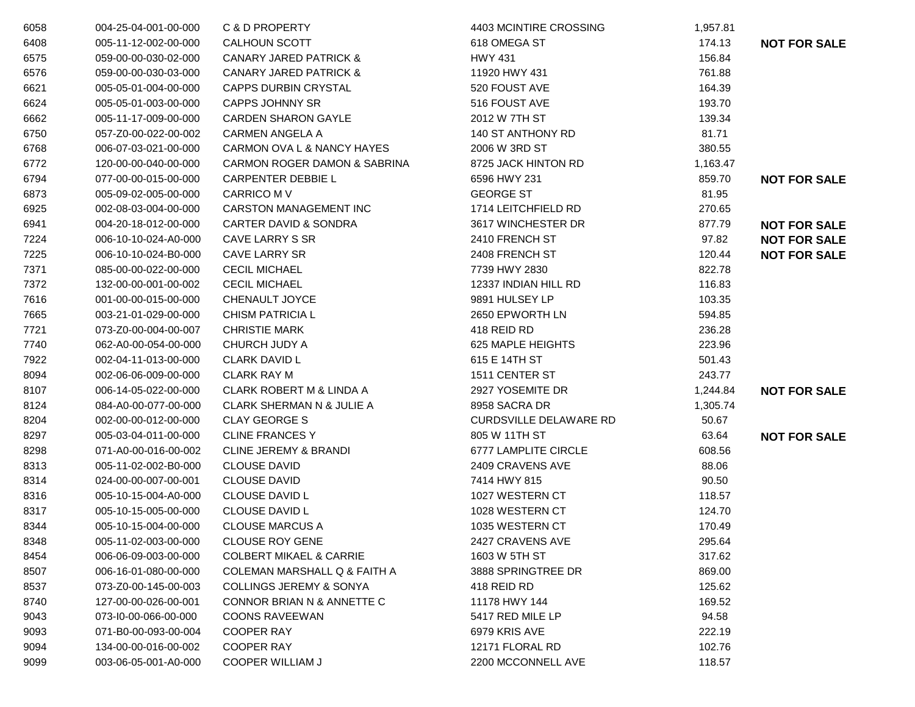| 6058 | 004-25-04-001-00-000 | C & D PROPERTY                       | 4403 MCINTIRE CROSSING        | 1,957.81 |                     |
|------|----------------------|--------------------------------------|-------------------------------|----------|---------------------|
| 6408 | 005-11-12-002-00-000 | CALHOUN SCOTT                        | 618 OMEGA ST                  | 174.13   | <b>NOT FOR SALE</b> |
| 6575 | 059-00-00-030-02-000 | <b>CANARY JARED PATRICK &amp;</b>    | HWY 431                       | 156.84   |                     |
| 6576 | 059-00-00-030-03-000 | <b>CANARY JARED PATRICK &amp;</b>    | 11920 HWY 431                 | 761.88   |                     |
| 6621 | 005-05-01-004-00-000 | CAPPS DURBIN CRYSTAL                 | 520 FOUST AVE                 | 164.39   |                     |
| 6624 | 005-05-01-003-00-000 | <b>CAPPS JOHNNY SR</b>               | 516 FOUST AVE                 | 193.70   |                     |
| 6662 | 005-11-17-009-00-000 | <b>CARDEN SHARON GAYLE</b>           | 2012 W 7TH ST                 | 139.34   |                     |
| 6750 | 057-Z0-00-022-00-002 | <b>CARMEN ANGELA A</b>               | 140 ST ANTHONY RD             | 81.71    |                     |
| 6768 | 006-07-03-021-00-000 | CARMON OVA L & NANCY HAYES           | 2006 W 3RD ST                 | 380.55   |                     |
| 6772 | 120-00-00-040-00-000 | CARMON ROGER DAMON & SABRINA         | 8725 JACK HINTON RD           | 1,163.47 |                     |
| 6794 | 077-00-00-015-00-000 | CARPENTER DEBBIE L                   | 6596 HWY 231                  | 859.70   | <b>NOT FOR SALE</b> |
| 6873 | 005-09-02-005-00-000 | <b>CARRICO M V</b>                   | <b>GEORGE ST</b>              | 81.95    |                     |
| 6925 | 002-08-03-004-00-000 | <b>CARSTON MANAGEMENT INC</b>        | 1714 LEITCHFIELD RD           | 270.65   |                     |
| 6941 | 004-20-18-012-00-000 | <b>CARTER DAVID &amp; SONDRA</b>     | 3617 WINCHESTER DR            | 877.79   | <b>NOT FOR SALE</b> |
| 7224 | 006-10-10-024-A0-000 | CAVE LARRY S SR                      | 2410 FRENCH ST                | 97.82    | <b>NOT FOR SALE</b> |
| 7225 | 006-10-10-024-B0-000 | CAVE LARRY SR                        | 2408 FRENCH ST                | 120.44   | <b>NOT FOR SALE</b> |
| 7371 | 085-00-00-022-00-000 | <b>CECIL MICHAEL</b>                 | 7739 HWY 2830                 | 822.78   |                     |
| 7372 | 132-00-00-001-00-002 | <b>CECIL MICHAEL</b>                 | 12337 INDIAN HILL RD          | 116.83   |                     |
| 7616 | 001-00-00-015-00-000 | CHENAULT JOYCE                       | 9891 HULSEY LP                | 103.35   |                     |
| 7665 | 003-21-01-029-00-000 | <b>CHISM PATRICIA L</b>              | 2650 EPWORTH LN               | 594.85   |                     |
| 7721 | 073-Z0-00-004-00-007 | <b>CHRISTIE MARK</b>                 | 418 REID RD                   | 236.28   |                     |
| 7740 | 062-A0-00-054-00-000 | CHURCH JUDY A                        | 625 MAPLE HEIGHTS             | 223.96   |                     |
| 7922 | 002-04-11-013-00-000 | <b>CLARK DAVID L</b>                 | 615 E 14TH ST                 | 501.43   |                     |
| 8094 | 002-06-06-009-00-000 | <b>CLARK RAY M</b>                   | 1511 CENTER ST                | 243.77   |                     |
| 8107 | 006-14-05-022-00-000 | <b>CLARK ROBERT M &amp; LINDA A</b>  | 2927 YOSEMITE DR              | 1,244.84 | <b>NOT FOR SALE</b> |
| 8124 | 084-A0-00-077-00-000 | <b>CLARK SHERMAN N &amp; JULIE A</b> | 8958 SACRA DR                 | 1,305.74 |                     |
| 8204 | 002-00-00-012-00-000 | <b>CLAY GEORGE S</b>                 | <b>CURDSVILLE DELAWARE RD</b> | 50.67    |                     |
| 8297 | 005-03-04-011-00-000 | <b>CLINE FRANCES Y</b>               | 805 W 11TH ST                 | 63.64    | <b>NOT FOR SALE</b> |
| 8298 | 071-A0-00-016-00-002 | <b>CLINE JEREMY &amp; BRANDI</b>     | 6777 LAMPLITE CIRCLE          | 608.56   |                     |
| 8313 | 005-11-02-002-B0-000 | <b>CLOUSE DAVID</b>                  | 2409 CRAVENS AVE              | 88.06    |                     |
| 8314 | 024-00-00-007-00-001 | <b>CLOUSE DAVID</b>                  | 7414 HWY 815                  | 90.50    |                     |
| 8316 | 005-10-15-004-A0-000 | <b>CLOUSE DAVID L</b>                | 1027 WESTERN CT               | 118.57   |                     |
| 8317 | 005-10-15-005-00-000 | <b>CLOUSE DAVID L</b>                | 1028 WESTERN CT               | 124.70   |                     |
| 8344 | 005-10-15-004-00-000 | <b>CLOUSE MARCUS A</b>               | 1035 WESTERN CT               | 170.49   |                     |
| 8348 | 005-11-02-003-00-000 | <b>CLOUSE ROY GENE</b>               | 2427 CRAVENS AVE              | 295.64   |                     |
| 8454 | 006-06-09-003-00-000 | <b>COLBERT MIKAEL &amp; CARRIE</b>   | 1603 W 5TH ST                 | 317.62   |                     |
| 8507 | 006-16-01-080-00-000 | COLEMAN MARSHALL Q & FAITH A         | 3888 SPRINGTREE DR            | 869.00   |                     |
| 8537 | 073-Z0-00-145-00-003 | <b>COLLINGS JEREMY &amp; SONYA</b>   | 418 REID RD                   | 125.62   |                     |
| 8740 | 127-00-00-026-00-001 | CONNOR BRIAN N & ANNETTE C           | 11178 HWY 144                 | 169.52   |                     |
| 9043 | 073-I0-00-066-00-000 | <b>COONS RAVEEWAN</b>                | 5417 RED MILE LP              | 94.58    |                     |
| 9093 | 071-B0-00-093-00-004 | <b>COOPER RAY</b>                    | 6979 KRIS AVE                 | 222.19   |                     |
| 9094 | 134-00-00-016-00-002 | <b>COOPER RAY</b>                    | 12171 FLORAL RD               | 102.76   |                     |
| 9099 | 003-06-05-001-A0-000 | <b>COOPER WILLIAM J</b>              | 2200 MCCONNELL AVE            | 118.57   |                     |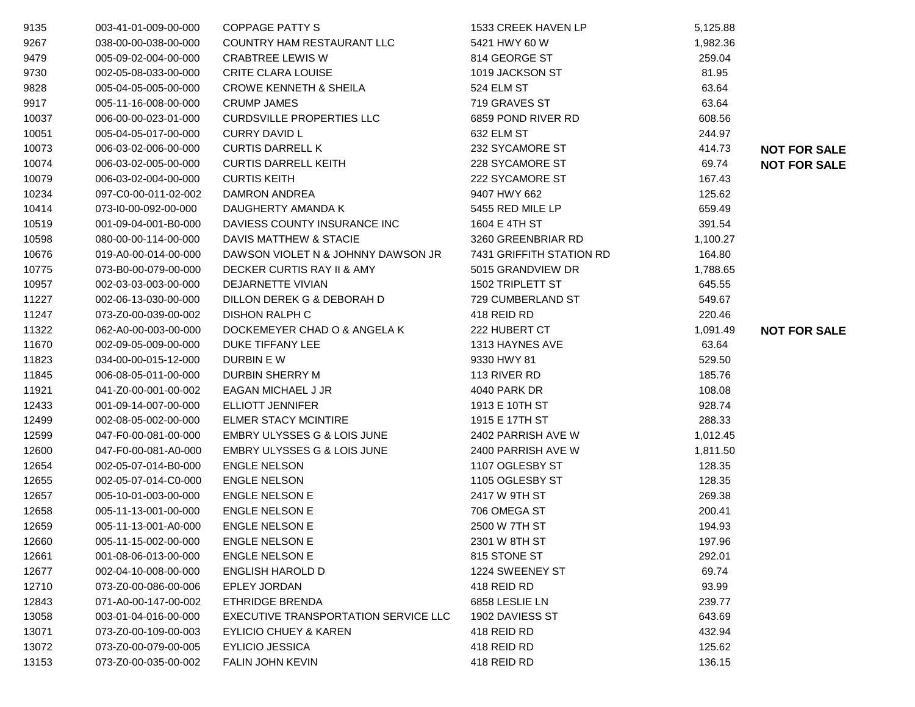| 9135  | 003-41-01-009-00-000 | <b>COPPAGE PATTY S</b>               | 1533 CREEK HAVEN LP      | 5,125.88 |                     |
|-------|----------------------|--------------------------------------|--------------------------|----------|---------------------|
| 9267  | 038-00-00-038-00-000 | COUNTRY HAM RESTAURANT LLC           | 5421 HWY 60 W            | 1,982.36 |                     |
| 9479  | 005-09-02-004-00-000 | <b>CRABTREE LEWIS W</b>              | 814 GEORGE ST            | 259.04   |                     |
| 9730  | 002-05-08-033-00-000 | <b>CRITE CLARA LOUISE</b>            | 1019 JACKSON ST          | 81.95    |                     |
| 9828  | 005-04-05-005-00-000 | <b>CROWE KENNETH &amp; SHEILA</b>    | 524 ELM ST               | 63.64    |                     |
| 9917  | 005-11-16-008-00-000 | <b>CRUMP JAMES</b>                   | 719 GRAVES ST            | 63.64    |                     |
| 10037 | 006-00-00-023-01-000 | <b>CURDSVILLE PROPERTIES LLC</b>     | 6859 POND RIVER RD       | 608.56   |                     |
| 10051 | 005-04-05-017-00-000 | <b>CURRY DAVID L</b>                 | 632 ELM ST               | 244.97   |                     |
| 10073 | 006-03-02-006-00-000 | <b>CURTIS DARRELL K</b>              | 232 SYCAMORE ST          | 414.73   | <b>NOT FOR SALE</b> |
| 10074 | 006-03-02-005-00-000 | <b>CURTIS DARRELL KEITH</b>          | 228 SYCAMORE ST          | 69.74    | <b>NOT FOR SALE</b> |
| 10079 | 006-03-02-004-00-000 | <b>CURTIS KEITH</b>                  | 222 SYCAMORE ST          | 167.43   |                     |
| 10234 | 097-C0-00-011-02-002 | DAMRON ANDREA                        | 9407 HWY 662             | 125.62   |                     |
| 10414 | 073-10-00-092-00-000 | DAUGHERTY AMANDA K                   | 5455 RED MILE LP         | 659.49   |                     |
| 10519 | 001-09-04-001-B0-000 | DAVIESS COUNTY INSURANCE INC         | 1604 E 4TH ST            | 391.54   |                     |
| 10598 | 080-00-00-114-00-000 | DAVIS MATTHEW & STACIE               | 3260 GREENBRIAR RD       | 1,100.27 |                     |
| 10676 | 019-A0-00-014-00-000 | DAWSON VIOLET N & JOHNNY DAWSON JR   | 7431 GRIFFITH STATION RD | 164.80   |                     |
| 10775 | 073-B0-00-079-00-000 | DECKER CURTIS RAY II & AMY           | 5015 GRANDVIEW DR        | 1,788.65 |                     |
| 10957 | 002-03-03-003-00-000 | DEJARNETTE VIVIAN                    | 1502 TRIPLETT ST         | 645.55   |                     |
| 11227 | 002-06-13-030-00-000 | DILLON DEREK G & DEBORAH D           | 729 CUMBERLAND ST        | 549.67   |                     |
| 11247 | 073-Z0-00-039-00-002 | <b>DISHON RALPH C</b>                | 418 REID RD              | 220.46   |                     |
| 11322 | 062-A0-00-003-00-000 | DOCKEMEYER CHAD O & ANGELA K         | 222 HUBERT CT            | 1,091.49 | <b>NOT FOR SALE</b> |
| 11670 | 002-09-05-009-00-000 | DUKE TIFFANY LEE                     | 1313 HAYNES AVE          | 63.64    |                     |
| 11823 | 034-00-00-015-12-000 | DURBIN E W                           | 9330 HWY 81              | 529.50   |                     |
| 11845 | 006-08-05-011-00-000 | DURBIN SHERRY M                      | 113 RIVER RD             | 185.76   |                     |
| 11921 | 041-Z0-00-001-00-002 | EAGAN MICHAEL J JR                   | 4040 PARK DR             | 108.08   |                     |
| 12433 | 001-09-14-007-00-000 | <b>ELLIOTT JENNIFER</b>              | 1913 E 10TH ST           | 928.74   |                     |
| 12499 | 002-08-05-002-00-000 | <b>ELMER STACY MCINTIRE</b>          | 1915 E 17TH ST           | 288.33   |                     |
| 12599 | 047-F0-00-081-00-000 | EMBRY ULYSSES G & LOIS JUNE          | 2402 PARRISH AVE W       | 1,012.45 |                     |
| 12600 | 047-F0-00-081-A0-000 | EMBRY ULYSSES G & LOIS JUNE          | 2400 PARRISH AVE W       | 1,811.50 |                     |
| 12654 | 002-05-07-014-B0-000 | <b>ENGLE NELSON</b>                  | 1107 OGLESBY ST          | 128.35   |                     |
| 12655 | 002-05-07-014-C0-000 | <b>ENGLE NELSON</b>                  | 1105 OGLESBY ST          | 128.35   |                     |
| 12657 | 005-10-01-003-00-000 | <b>ENGLE NELSON E</b>                | 2417 W 9TH ST            | 269.38   |                     |
| 12658 | 005-11-13-001-00-000 | <b>ENGLE NELSON E</b>                | 706 OMEGA ST             | 200.41   |                     |
| 12659 | 005-11-13-001-A0-000 | <b>ENGLE NELSON E</b>                | 2500 W 7TH ST            | 194.93   |                     |
| 12660 | 005-11-15-002-00-000 | ENGLE NELSON E                       | 2301 W 8TH ST            | 197.96   |                     |
| 12661 | 001-08-06-013-00-000 | <b>ENGLE NELSON E</b>                | 815 STONE ST             | 292.01   |                     |
| 12677 | 002-04-10-008-00-000 | ENGLISH HAROLD D                     | 1224 SWEENEY ST          | 69.74    |                     |
| 12710 | 073-Z0-00-086-00-006 | EPLEY JORDAN                         | 418 REID RD              | 93.99    |                     |
| 12843 | 071-A0-00-147-00-002 | <b>ETHRIDGE BRENDA</b>               | 6858 LESLIE LN           | 239.77   |                     |
| 13058 | 003-01-04-016-00-000 | EXECUTIVE TRANSPORTATION SERVICE LLC | 1902 DAVIESS ST          | 643.69   |                     |
| 13071 | 073-Z0-00-109-00-003 | <b>EYLICIO CHUEY &amp; KAREN</b>     | 418 REID RD              | 432.94   |                     |
| 13072 | 073-Z0-00-079-00-005 | <b>EYLICIO JESSICA</b>               | 418 REID RD              | 125.62   |                     |
| 13153 | 073-Z0-00-035-00-002 | FALIN JOHN KEVIN                     | 418 REID RD              | 136.15   |                     |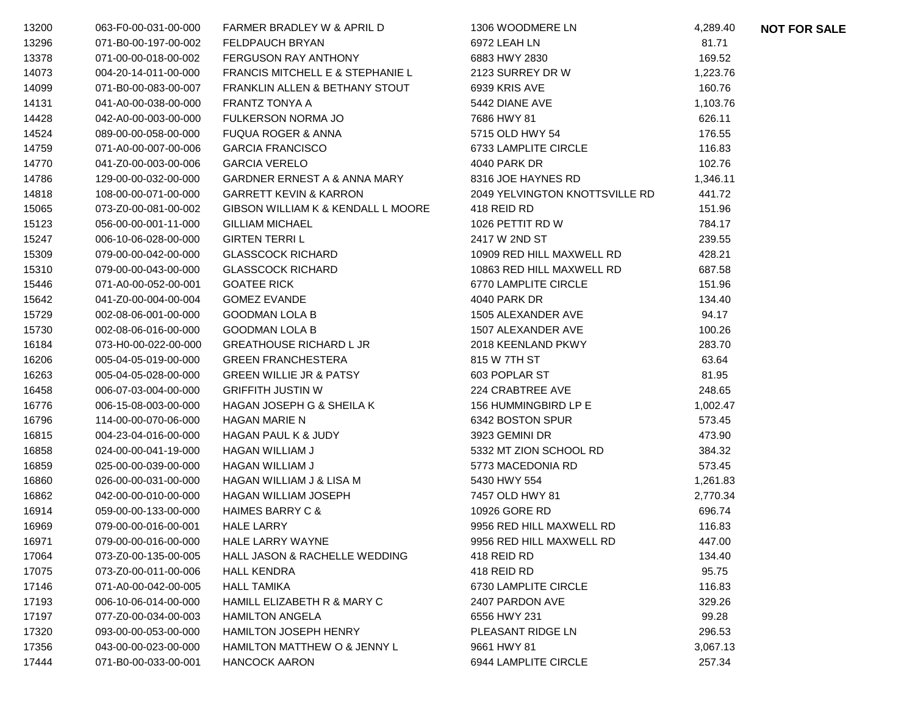| 13200 | 063-F0-00-031-00-000 | FARMER BRADLEY W & APRIL D                  | 1306 WOODMERE LN               | 4,289.40 | <b>NOT FOR SALE</b> |
|-------|----------------------|---------------------------------------------|--------------------------------|----------|---------------------|
| 13296 | 071-B0-00-197-00-002 | <b>FELDPAUCH BRYAN</b>                      | 6972 LEAH LN                   | 81.71    |                     |
| 13378 | 071-00-00-018-00-002 | <b>FERGUSON RAY ANTHONY</b>                 | 6883 HWY 2830                  | 169.52   |                     |
| 14073 | 004-20-14-011-00-000 | <b>FRANCIS MITCHELL E &amp; STEPHANIE L</b> | 2123 SURREY DR W               | 1,223.76 |                     |
| 14099 | 071-B0-00-083-00-007 | FRANKLIN ALLEN & BETHANY STOUT              | 6939 KRIS AVE                  | 160.76   |                     |
| 14131 | 041-A0-00-038-00-000 | FRANTZ TONYA A                              | 5442 DIANE AVE                 | 1,103.76 |                     |
| 14428 | 042-A0-00-003-00-000 | <b>FULKERSON NORMA JO</b>                   | 7686 HWY 81                    | 626.11   |                     |
| 14524 | 089-00-00-058-00-000 | <b>FUQUA ROGER &amp; ANNA</b>               | 5715 OLD HWY 54                | 176.55   |                     |
| 14759 | 071-A0-00-007-00-006 | <b>GARCIA FRANCISCO</b>                     | 6733 LAMPLITE CIRCLE           | 116.83   |                     |
| 14770 | 041-Z0-00-003-00-006 | <b>GARCIA VERELO</b>                        | 4040 PARK DR                   | 102.76   |                     |
| 14786 | 129-00-00-032-00-000 | <b>GARDNER ERNEST A &amp; ANNA MARY</b>     | 8316 JOE HAYNES RD             | 1,346.11 |                     |
| 14818 | 108-00-00-071-00-000 | <b>GARRETT KEVIN &amp; KARRON</b>           | 2049 YELVINGTON KNOTTSVILLE RD | 441.72   |                     |
| 15065 | 073-Z0-00-081-00-002 | GIBSON WILLIAM K & KENDALL L MOORE          | 418 REID RD                    | 151.96   |                     |
| 15123 | 056-00-00-001-11-000 | <b>GILLIAM MICHAEL</b>                      | 1026 PETTIT RD W               | 784.17   |                     |
| 15247 | 006-10-06-028-00-000 | <b>GIRTEN TERRIL</b>                        | 2417 W 2ND ST                  | 239.55   |                     |
| 15309 | 079-00-00-042-00-000 | <b>GLASSCOCK RICHARD</b>                    | 10909 RED HILL MAXWELL RD      | 428.21   |                     |
| 15310 | 079-00-00-043-00-000 | <b>GLASSCOCK RICHARD</b>                    | 10863 RED HILL MAXWELL RD      | 687.58   |                     |
| 15446 | 071-A0-00-052-00-001 | <b>GOATEE RICK</b>                          | 6770 LAMPLITE CIRCLE           | 151.96   |                     |
| 15642 | 041-Z0-00-004-00-004 | <b>GOMEZ EVANDE</b>                         | 4040 PARK DR                   | 134.40   |                     |
| 15729 | 002-08-06-001-00-000 | <b>GOODMAN LOLA B</b>                       | 1505 ALEXANDER AVE             | 94.17    |                     |
| 15730 | 002-08-06-016-00-000 | <b>GOODMAN LOLA B</b>                       | 1507 ALEXANDER AVE             | 100.26   |                     |
| 16184 | 073-H0-00-022-00-000 | <b>GREATHOUSE RICHARD L JR</b>              | 2018 KEENLAND PKWY             | 283.70   |                     |
| 16206 | 005-04-05-019-00-000 | <b>GREEN FRANCHESTERA</b>                   | 815 W 7TH ST                   | 63.64    |                     |
| 16263 | 005-04-05-028-00-000 | <b>GREEN WILLIE JR &amp; PATSY</b>          | 603 POPLAR ST                  | 81.95    |                     |
| 16458 | 006-07-03-004-00-000 | <b>GRIFFITH JUSTIN W</b>                    | 224 CRABTREE AVE               | 248.65   |                     |
| 16776 | 006-15-08-003-00-000 | HAGAN JOSEPH G & SHEILA K                   | 156 HUMMINGBIRD LP E           | 1,002.47 |                     |
| 16796 | 114-00-00-070-06-000 | <b>HAGAN MARIE N</b>                        | 6342 BOSTON SPUR               | 573.45   |                     |
| 16815 | 004-23-04-016-00-000 | <b>HAGAN PAUL K &amp; JUDY</b>              | 3923 GEMINI DR                 | 473.90   |                     |
| 16858 | 024-00-00-041-19-000 | <b>HAGAN WILLIAM J</b>                      | 5332 MT ZION SCHOOL RD         | 384.32   |                     |
| 16859 | 025-00-00-039-00-000 | <b>HAGAN WILLIAM J</b>                      | 5773 MACEDONIA RD              | 573.45   |                     |
| 16860 | 026-00-00-031-00-000 | HAGAN WILLIAM J & LISA M                    | 5430 HWY 554                   | 1,261.83 |                     |
| 16862 | 042-00-00-010-00-000 | <b>HAGAN WILLIAM JOSEPH</b>                 | 7457 OLD HWY 81                | 2,770.34 |                     |
| 16914 | 059-00-00-133-00-000 | <b>HAIMES BARRY C &amp;</b>                 | 10926 GORE RD                  | 696.74   |                     |
| 16969 | 079-00-00-016-00-001 | <b>HALE LARRY</b>                           | 9956 RED HILL MAXWELL RD       | 116.83   |                     |
| 16971 | 079-00-00-016-00-000 | HALE LARRY WAYNE                            | 9956 RED HILL MAXWELL RD       | 447.00   |                     |
| 17064 | 073-Z0-00-135-00-005 | HALL JASON & RACHELLE WEDDING               | 418 REID RD                    | 134.40   |                     |
| 17075 | 073-Z0-00-011-00-006 | <b>HALL KENDRA</b>                          | 418 REID RD                    | 95.75    |                     |
| 17146 | 071-A0-00-042-00-005 | <b>HALL TAMIKA</b>                          | 6730 LAMPLITE CIRCLE           | 116.83   |                     |
| 17193 | 006-10-06-014-00-000 | HAMILL ELIZABETH R & MARY C                 | 2407 PARDON AVE                | 329.26   |                     |
| 17197 | 077-Z0-00-034-00-003 | <b>HAMILTON ANGELA</b>                      | 6556 HWY 231                   | 99.28    |                     |
| 17320 | 093-00-00-053-00-000 | <b>HAMILTON JOSEPH HENRY</b>                | PLEASANT RIDGE LN              | 296.53   |                     |
| 17356 | 043-00-00-023-00-000 | HAMILTON MATTHEW O & JENNY L                | 9661 HWY 81                    | 3,067.13 |                     |
| 17444 | 071-B0-00-033-00-001 | HANCOCK AARON                               | 6944 LAMPLITE CIRCLE           | 257.34   |                     |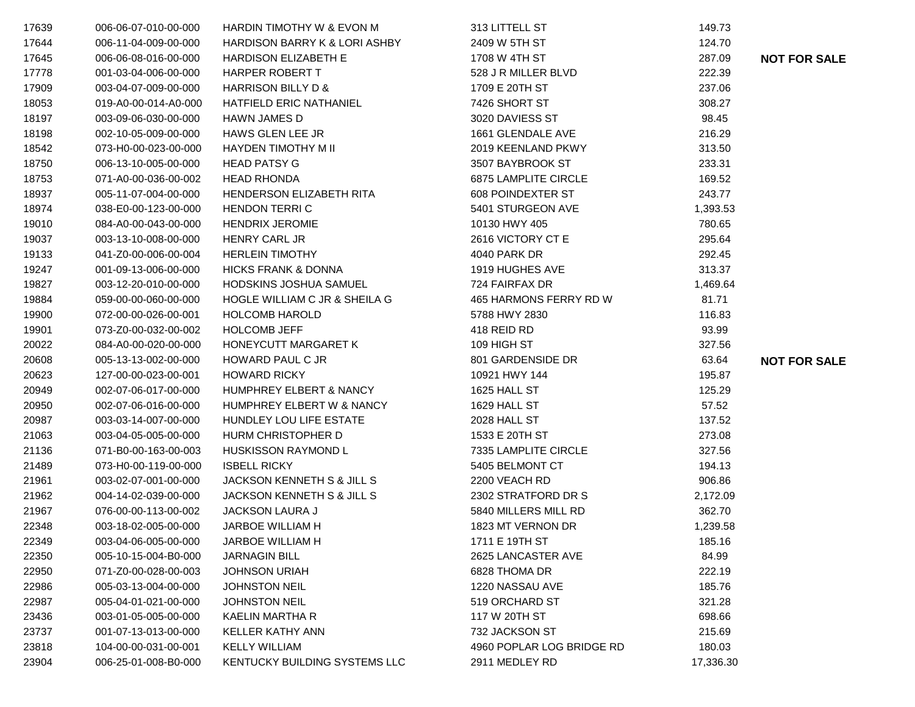| 17639 | 006-06-07-010-00-000 | <b>HARDIN TIMOTHY W &amp; EVON M</b> | 313 LITTELL ST              | 149.73    |                     |
|-------|----------------------|--------------------------------------|-----------------------------|-----------|---------------------|
| 17644 | 006-11-04-009-00-000 | HARDISON BARRY K & LORI ASHBY        | 2409 W 5TH ST               | 124.70    |                     |
| 17645 | 006-06-08-016-00-000 | <b>HARDISON ELIZABETH E</b>          | 1708 W 4TH ST               | 287.09    | <b>NOT FOR SALE</b> |
| 17778 | 001-03-04-006-00-000 | HARPER ROBERT T                      | 528 J R MILLER BLVD         | 222.39    |                     |
| 17909 | 003-04-07-009-00-000 | HARRISON BILLY D &                   | 1709 E 20TH ST              | 237.06    |                     |
| 18053 | 019-A0-00-014-A0-000 | HATFIELD ERIC NATHANIEL              | 7426 SHORT ST               | 308.27    |                     |
| 18197 | 003-09-06-030-00-000 | <b>HAWN JAMES D</b>                  | 3020 DAVIESS ST             | 98.45     |                     |
| 18198 | 002-10-05-009-00-000 | HAWS GLEN LEE JR                     | 1661 GLENDALE AVE           | 216.29    |                     |
| 18542 | 073-H0-00-023-00-000 | <b>HAYDEN TIMOTHY M II</b>           | 2019 KEENLAND PKWY          | 313.50    |                     |
| 18750 | 006-13-10-005-00-000 | <b>HEAD PATSY G</b>                  | 3507 BAYBROOK ST            | 233.31    |                     |
| 18753 | 071-A0-00-036-00-002 | <b>HEAD RHONDA</b>                   | <b>6875 LAMPLITE CIRCLE</b> | 169.52    |                     |
| 18937 | 005-11-07-004-00-000 | HENDERSON ELIZABETH RITA             | <b>608 POINDEXTER ST</b>    | 243.77    |                     |
| 18974 | 038-E0-00-123-00-000 | <b>HENDON TERRIC</b>                 | 5401 STURGEON AVE           | 1,393.53  |                     |
| 19010 | 084-A0-00-043-00-000 | <b>HENDRIX JEROMIE</b>               | 10130 HWY 405               | 780.65    |                     |
| 19037 | 003-13-10-008-00-000 | <b>HENRY CARL JR</b>                 | 2616 VICTORY CT E           | 295.64    |                     |
| 19133 | 041-Z0-00-006-00-004 | <b>HERLEIN TIMOTHY</b>               | 4040 PARK DR                | 292.45    |                     |
| 19247 | 001-09-13-006-00-000 | <b>HICKS FRANK &amp; DONNA</b>       | 1919 HUGHES AVE             | 313.37    |                     |
| 19827 | 003-12-20-010-00-000 | HODSKINS JOSHUA SAMUEL               | 724 FAIRFAX DR              | 1,469.64  |                     |
| 19884 | 059-00-00-060-00-000 | HOGLE WILLIAM C JR & SHEILA G        | 465 HARMONS FERRY RD W      | 81.71     |                     |
| 19900 | 072-00-00-026-00-001 | <b>HOLCOMB HAROLD</b>                | 5788 HWY 2830               | 116.83    |                     |
| 19901 | 073-Z0-00-032-00-002 | <b>HOLCOMB JEFF</b>                  | 418 REID RD                 | 93.99     |                     |
| 20022 | 084-A0-00-020-00-000 | HONEYCUTT MARGARET K                 | 109 HIGH ST                 | 327.56    |                     |
| 20608 | 005-13-13-002-00-000 | HOWARD PAUL C JR                     | 801 GARDENSIDE DR           | 63.64     | <b>NOT FOR SALE</b> |
| 20623 | 127-00-00-023-00-001 | <b>HOWARD RICKY</b>                  | 10921 HWY 144               | 195.87    |                     |
| 20949 | 002-07-06-017-00-000 | <b>HUMPHREY ELBERT &amp; NANCY</b>   | 1625 HALL ST                | 125.29    |                     |
| 20950 | 002-07-06-016-00-000 | HUMPHREY ELBERT W & NANCY            | 1629 HALL ST                | 57.52     |                     |
| 20987 | 003-03-14-007-00-000 | HUNDLEY LOU LIFE ESTATE              | <b>2028 HALL ST</b>         | 137.52    |                     |
| 21063 | 003-04-05-005-00-000 | HURM CHRISTOPHER D                   | 1533 E 20TH ST              | 273.08    |                     |
| 21136 | 071-B0-00-163-00-003 | <b>HUSKISSON RAYMOND L</b>           | 7335 LAMPLITE CIRCLE        | 327.56    |                     |
| 21489 | 073-H0-00-119-00-000 | <b>ISBELL RICKY</b>                  | 5405 BELMONT CT             | 194.13    |                     |
| 21961 | 003-02-07-001-00-000 | JACKSON KENNETH S & JILL S           | 2200 VEACH RD               | 906.86    |                     |
| 21962 | 004-14-02-039-00-000 | JACKSON KENNETH S & JILL S           | 2302 STRATFORD DR S         | 2,172.09  |                     |
| 21967 | 076-00-00-113-00-002 | <b>JACKSON LAURA J</b>               | 5840 MILLERS MILL RD        | 362.70    |                     |
| 22348 | 003-18-02-005-00-000 | JARBOE WILLIAM H                     | 1823 MT VERNON DR           | 1,239.58  |                     |
| 22349 | 003-04-06-005-00-000 | JARBOE WILLIAM H                     | 1711 E 19TH ST              | 185.16    |                     |
| 22350 | 005-10-15-004-B0-000 | <b>JARNAGIN BILL</b>                 | 2625 LANCASTER AVE          | 84.99     |                     |
| 22950 | 071-Z0-00-028-00-003 | <b>JOHNSON URIAH</b>                 | 6828 THOMA DR               | 222.19    |                     |
| 22986 | 005-03-13-004-00-000 | <b>JOHNSTON NEIL</b>                 | 1220 NASSAU AVE             | 185.76    |                     |
| 22987 | 005-04-01-021-00-000 | <b>JOHNSTON NEIL</b>                 | 519 ORCHARD ST              | 321.28    |                     |
| 23436 | 003-01-05-005-00-000 | KAELIN MARTHA R                      | 117 W 20TH ST               | 698.66    |                     |
| 23737 | 001-07-13-013-00-000 | <b>KELLER KATHY ANN</b>              | 732 JACKSON ST              | 215.69    |                     |
| 23818 | 104-00-00-031-00-001 | <b>KELLY WILLIAM</b>                 | 4960 POPLAR LOG BRIDGE RD   | 180.03    |                     |
| 23904 | 006-25-01-008-B0-000 | KENTUCKY BUILDING SYSTEMS LLC        | 2911 MEDLEY RD              | 17,336.30 |                     |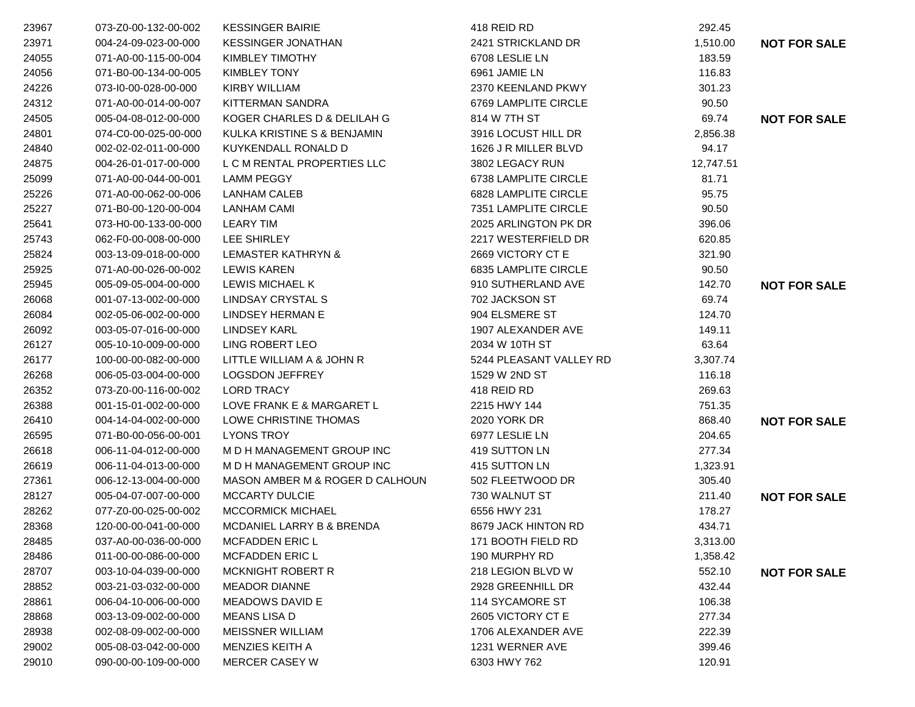| 23967 | 073-Z0-00-132-00-002 | <b>KESSINGER BAIRIE</b>         | 418 REID RD             | 292.45    |                     |
|-------|----------------------|---------------------------------|-------------------------|-----------|---------------------|
| 23971 | 004-24-09-023-00-000 | <b>KESSINGER JONATHAN</b>       | 2421 STRICKLAND DR      | 1,510.00  | <b>NOT FOR SALE</b> |
| 24055 | 071-A0-00-115-00-004 | KIMBLEY TIMOTHY                 | 6708 LESLIE LN          | 183.59    |                     |
| 24056 | 071-B0-00-134-00-005 | <b>KIMBLEY TONY</b>             | 6961 JAMIE LN           | 116.83    |                     |
| 24226 | 073-I0-00-028-00-000 | <b>KIRBY WILLIAM</b>            | 2370 KEENLAND PKWY      | 301.23    |                     |
| 24312 | 071-A0-00-014-00-007 | <b>KITTERMAN SANDRA</b>         | 6769 LAMPLITE CIRCLE    | 90.50     |                     |
| 24505 | 005-04-08-012-00-000 | KOGER CHARLES D & DELILAH G     | 814 W 7TH ST            | 69.74     | <b>NOT FOR SALE</b> |
| 24801 | 074-C0-00-025-00-000 | KULKA KRISTINE S & BENJAMIN     | 3916 LOCUST HILL DR     | 2,856.38  |                     |
| 24840 | 002-02-02-011-00-000 | KUYKENDALL RONALD D             | 1626 J R MILLER BLVD    | 94.17     |                     |
| 24875 | 004-26-01-017-00-000 | L C M RENTAL PROPERTIES LLC     | 3802 LEGACY RUN         | 12,747.51 |                     |
| 25099 | 071-A0-00-044-00-001 | <b>LAMM PEGGY</b>               | 6738 LAMPLITE CIRCLE    | 81.71     |                     |
| 25226 | 071-A0-00-062-00-006 | <b>LANHAM CALEB</b>             | 6828 LAMPLITE CIRCLE    | 95.75     |                     |
| 25227 | 071-B0-00-120-00-004 | <b>LANHAM CAMI</b>              | 7351 LAMPLITE CIRCLE    | 90.50     |                     |
| 25641 | 073-H0-00-133-00-000 | <b>LEARY TIM</b>                | 2025 ARLINGTON PK DR    | 396.06    |                     |
| 25743 | 062-F0-00-008-00-000 | LEE SHIRLEY                     | 2217 WESTERFIELD DR     | 620.85    |                     |
| 25824 | 003-13-09-018-00-000 | <b>LEMASTER KATHRYN &amp;</b>   | 2669 VICTORY CT E       | 321.90    |                     |
| 25925 | 071-A0-00-026-00-002 | <b>LEWIS KAREN</b>              | 6835 LAMPLITE CIRCLE    | 90.50     |                     |
| 25945 | 005-09-05-004-00-000 | LEWIS MICHAEL K                 | 910 SUTHERLAND AVE      | 142.70    | <b>NOT FOR SALE</b> |
| 26068 | 001-07-13-002-00-000 | <b>LINDSAY CRYSTAL S</b>        | 702 JACKSON ST          | 69.74     |                     |
| 26084 | 002-05-06-002-00-000 | LINDSEY HERMAN E                | 904 ELSMERE ST          | 124.70    |                     |
| 26092 | 003-05-07-016-00-000 | <b>LINDSEY KARL</b>             | 1907 ALEXANDER AVE      | 149.11    |                     |
| 26127 | 005-10-10-009-00-000 | LING ROBERT LEO                 | 2034 W 10TH ST          | 63.64     |                     |
| 26177 | 100-00-00-082-00-000 | LITTLE WILLIAM A & JOHN R       | 5244 PLEASANT VALLEY RD | 3,307.74  |                     |
| 26268 | 006-05-03-004-00-000 | <b>LOGSDON JEFFREY</b>          | 1529 W 2ND ST           | 116.18    |                     |
| 26352 | 073-Z0-00-116-00-002 | <b>LORD TRACY</b>               | 418 REID RD             | 269.63    |                     |
| 26388 | 001-15-01-002-00-000 | LOVE FRANK E & MARGARET L       | 2215 HWY 144            | 751.35    |                     |
| 26410 | 004-14-04-002-00-000 | LOWE CHRISTINE THOMAS           | 2020 YORK DR            | 868.40    | <b>NOT FOR SALE</b> |
| 26595 | 071-B0-00-056-00-001 | <b>LYONS TROY</b>               | 6977 LESLIE LN          | 204.65    |                     |
| 26618 | 006-11-04-012-00-000 | M D H MANAGEMENT GROUP INC      | 419 SUTTON LN           | 277.34    |                     |
| 26619 | 006-11-04-013-00-000 | M D H MANAGEMENT GROUP INC      | 415 SUTTON LN           | 1,323.91  |                     |
| 27361 | 006-12-13-004-00-000 | MASON AMBER M & ROGER D CALHOUN | 502 FLEETWOOD DR        | 305.40    |                     |
| 28127 | 005-04-07-007-00-000 | <b>MCCARTY DULCIE</b>           | 730 WALNUT ST           | 211.40    | <b>NOT FOR SALE</b> |
| 28262 | 077-Z0-00-025-00-002 | <b>MCCORMICK MICHAEL</b>        | 6556 HWY 231            | 178.27    |                     |
| 28368 | 120-00-00-041-00-000 | MCDANIEL LARRY B & BRENDA       | 8679 JACK HINTON RD     | 434.71    |                     |
| 28485 | 037-A0-00-036-00-000 | MCFADDEN ERIC L                 | 171 BOOTH FIELD RD      | 3,313.00  |                     |
| 28486 | 011-00-00-086-00-000 | <b>MCFADDEN ERIC L</b>          | 190 MURPHY RD           | 1,358.42  |                     |
| 28707 | 003-10-04-039-00-000 | <b>MCKNIGHT ROBERT R</b>        | 218 LEGION BLVD W       | 552.10    | <b>NOT FOR SALE</b> |
| 28852 | 003-21-03-032-00-000 | <b>MEADOR DIANNE</b>            | 2928 GREENHILL DR       | 432.44    |                     |
| 28861 | 006-04-10-006-00-000 | <b>MEADOWS DAVID E</b>          | 114 SYCAMORE ST         | 106.38    |                     |
| 28868 | 003-13-09-002-00-000 | <b>MEANS LISA D</b>             | 2605 VICTORY CT E       | 277.34    |                     |
| 28938 | 002-08-09-002-00-000 | <b>MEISSNER WILLIAM</b>         | 1706 ALEXANDER AVE      | 222.39    |                     |
| 29002 | 005-08-03-042-00-000 | MENZIES KEITH A                 | 1231 WERNER AVE         | 399.46    |                     |
| 29010 | 090-00-00-109-00-000 | MERCER CASEY W                  | 6303 HWY 762            | 120.91    |                     |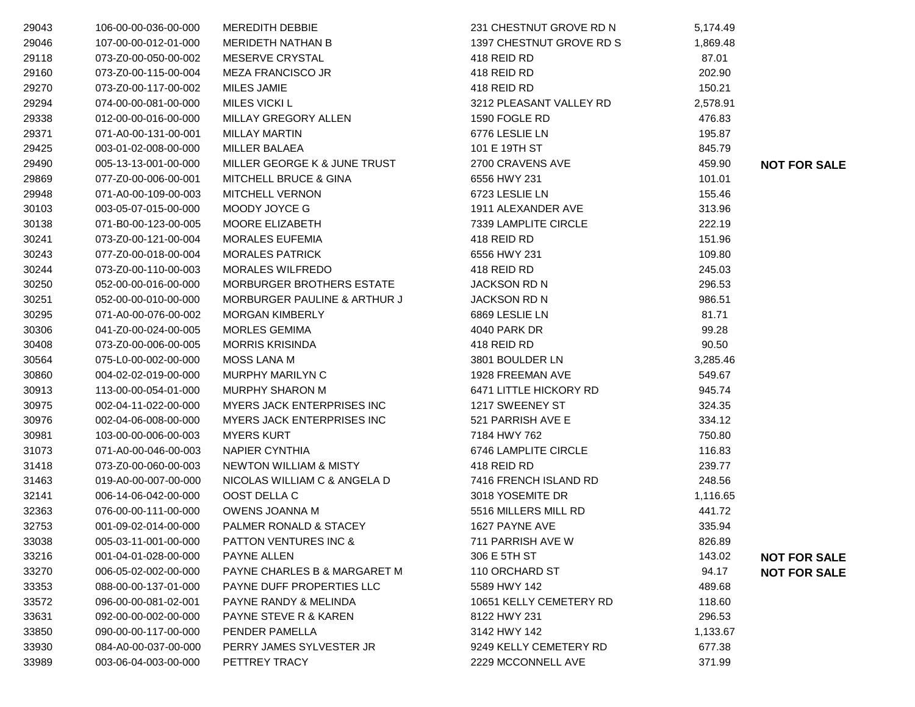| 29043 | 106-00-00-036-00-000 | <b>MEREDITH DEBBIE</b>            | 231 CHESTNUT GROVE RD N  | 5,174.49 |                     |
|-------|----------------------|-----------------------------------|--------------------------|----------|---------------------|
| 29046 | 107-00-00-012-01-000 | <b>MERIDETH NATHAN B</b>          | 1397 CHESTNUT GROVE RD S | 1,869.48 |                     |
| 29118 | 073-Z0-00-050-00-002 | MESERVE CRYSTAL                   | 418 REID RD              | 87.01    |                     |
| 29160 | 073-Z0-00-115-00-004 | <b>MEZA FRANCISCO JR</b>          | 418 REID RD              | 202.90   |                     |
| 29270 | 073-Z0-00-117-00-002 | MILES JAMIE                       | 418 REID RD              | 150.21   |                     |
| 29294 | 074-00-00-081-00-000 | <b>MILES VICKI L</b>              | 3212 PLEASANT VALLEY RD  | 2,578.91 |                     |
| 29338 | 012-00-00-016-00-000 | MILLAY GREGORY ALLEN              | 1590 FOGLE RD            | 476.83   |                     |
| 29371 | 071-A0-00-131-00-001 | <b>MILLAY MARTIN</b>              | 6776 LESLIE LN           | 195.87   |                     |
| 29425 | 003-01-02-008-00-000 | <b>MILLER BALAEA</b>              | 101 E 19TH ST            | 845.79   |                     |
| 29490 | 005-13-13-001-00-000 | MILLER GEORGE K & JUNE TRUST      | 2700 CRAVENS AVE         | 459.90   | <b>NOT FOR SALE</b> |
| 29869 | 077-Z0-00-006-00-001 | <b>MITCHELL BRUCE &amp; GINA</b>  | 6556 HWY 231             | 101.01   |                     |
| 29948 | 071-A0-00-109-00-003 | <b>MITCHELL VERNON</b>            | 6723 LESLIE LN           | 155.46   |                     |
| 30103 | 003-05-07-015-00-000 | MOODY JOYCE G                     | 1911 ALEXANDER AVE       | 313.96   |                     |
| 30138 | 071-B0-00-123-00-005 | MOORE ELIZABETH                   | 7339 LAMPLITE CIRCLE     | 222.19   |                     |
| 30241 | 073-Z0-00-121-00-004 | <b>MORALES EUFEMIA</b>            | 418 REID RD              | 151.96   |                     |
| 30243 | 077-Z0-00-018-00-004 | <b>MORALES PATRICK</b>            | 6556 HWY 231             | 109.80   |                     |
| 30244 | 073-Z0-00-110-00-003 | <b>MORALES WILFREDO</b>           | 418 REID RD              | 245.03   |                     |
| 30250 | 052-00-00-016-00-000 | MORBURGER BROTHERS ESTATE         | <b>JACKSON RD N</b>      | 296.53   |                     |
| 30251 | 052-00-00-010-00-000 | MORBURGER PAULINE & ARTHUR J      | <b>JACKSON RD N</b>      | 986.51   |                     |
| 30295 | 071-A0-00-076-00-002 | <b>MORGAN KIMBERLY</b>            | 6869 LESLIE LN           | 81.71    |                     |
| 30306 | 041-Z0-00-024-00-005 | <b>MORLES GEMIMA</b>              | 4040 PARK DR             | 99.28    |                     |
| 30408 | 073-Z0-00-006-00-005 | <b>MORRIS KRISINDA</b>            | 418 REID RD              | 90.50    |                     |
| 30564 | 075-L0-00-002-00-000 | <b>MOSS LANA M</b>                | 3801 BOULDER LN          | 3,285.46 |                     |
| 30860 | 004-02-02-019-00-000 | MURPHY MARILYN C                  | 1928 FREEMAN AVE         | 549.67   |                     |
| 30913 | 113-00-00-054-01-000 | <b>MURPHY SHARON M</b>            | 6471 LITTLE HICKORY RD   | 945.74   |                     |
| 30975 | 002-04-11-022-00-000 | MYERS JACK ENTERPRISES INC        | 1217 SWEENEY ST          | 324.35   |                     |
| 30976 | 002-04-06-008-00-000 | MYERS JACK ENTERPRISES INC        | 521 PARRISH AVE E        | 334.12   |                     |
| 30981 | 103-00-00-006-00-003 | <b>MYERS KURT</b>                 | 7184 HWY 762             | 750.80   |                     |
| 31073 | 071-A0-00-046-00-003 | <b>NAPIER CYNTHIA</b>             | 6746 LAMPLITE CIRCLE     | 116.83   |                     |
| 31418 | 073-Z0-00-060-00-003 | <b>NEWTON WILLIAM &amp; MISTY</b> | 418 REID RD              | 239.77   |                     |
| 31463 | 019-A0-00-007-00-000 | NICOLAS WILLIAM C & ANGELA D      | 7416 FRENCH ISLAND RD    | 248.56   |                     |
| 32141 | 006-14-06-042-00-000 | OOST DELLA C                      | 3018 YOSEMITE DR         | 1,116.65 |                     |
| 32363 | 076-00-00-111-00-000 | OWENS JOANNA M                    | 5516 MILLERS MILL RD     | 441.72   |                     |
| 32753 | 001-09-02-014-00-000 | PALMER RONALD & STACEY            | 1627 PAYNE AVE           | 335.94   |                     |
| 33038 | 005-03-11-001-00-000 | PATTON VENTURES INC &             | 711 PARRISH AVE W        | 826.89   |                     |
| 33216 | 001-04-01-028-00-000 | PAYNE ALLEN                       | 306 E 5TH ST             | 143.02   | <b>NOT FOR SALE</b> |
| 33270 | 006-05-02-002-00-000 | PAYNE CHARLES B & MARGARET M      | 110 ORCHARD ST           | 94.17    | <b>NOT FOR SALE</b> |
| 33353 | 088-00-00-137-01-000 | PAYNE DUFF PROPERTIES LLC         | 5589 HWY 142             | 489.68   |                     |
| 33572 | 096-00-00-081-02-001 | PAYNE RANDY & MELINDA             | 10651 KELLY CEMETERY RD  | 118.60   |                     |
| 33631 | 092-00-00-002-00-000 | <b>PAYNE STEVE R &amp; KAREN</b>  | 8122 HWY 231             | 296.53   |                     |
| 33850 | 090-00-00-117-00-000 | PENDER PAMELLA                    | 3142 HWY 142             | 1,133.67 |                     |
| 33930 | 084-A0-00-037-00-000 | PERRY JAMES SYLVESTER JR          | 9249 KELLY CEMETERY RD   | 677.38   |                     |
| 33989 | 003-06-04-003-00-000 | PETTREY TRACY                     | 2229 MCCONNELL AVE       | 371.99   |                     |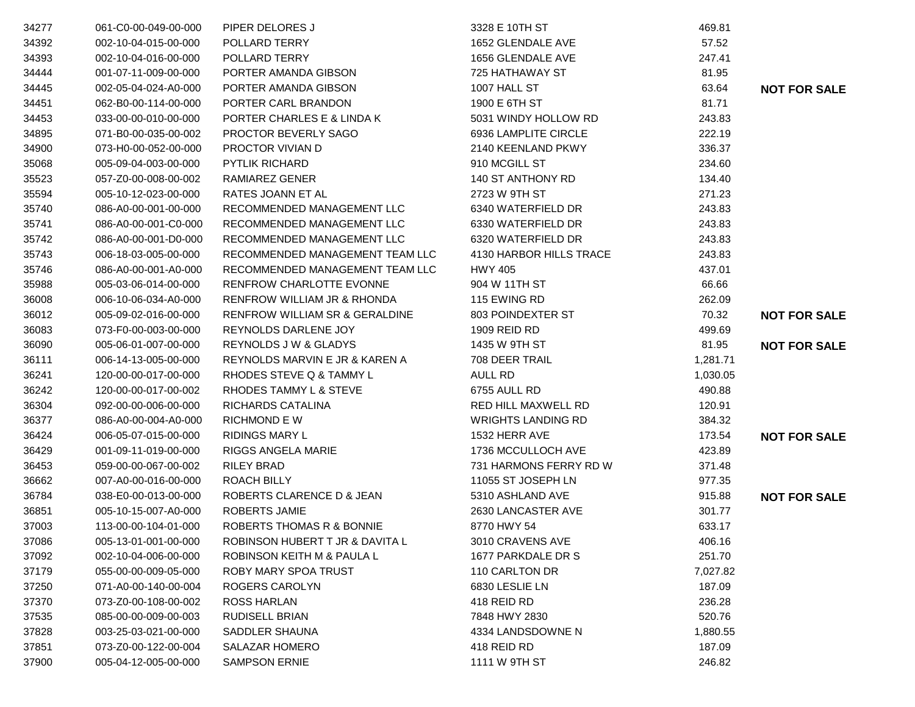| 34277 | 061-C0-00-049-00-000 | PIPER DELORES J                           | 3328 E 10TH ST            | 469.81   |                     |
|-------|----------------------|-------------------------------------------|---------------------------|----------|---------------------|
| 34392 | 002-10-04-015-00-000 | POLLARD TERRY                             | 1652 GLENDALE AVE         | 57.52    |                     |
| 34393 | 002-10-04-016-00-000 | POLLARD TERRY                             | 1656 GLENDALE AVE         | 247.41   |                     |
| 34444 | 001-07-11-009-00-000 | PORTER AMANDA GIBSON                      | 725 HATHAWAY ST           | 81.95    |                     |
| 34445 | 002-05-04-024-A0-000 | PORTER AMANDA GIBSON                      | 1007 HALL ST              | 63.64    | <b>NOT FOR SALE</b> |
| 34451 | 062-B0-00-114-00-000 | PORTER CARL BRANDON                       | 1900 E 6TH ST             | 81.71    |                     |
| 34453 | 033-00-00-010-00-000 | PORTER CHARLES E & LINDA K                | 5031 WINDY HOLLOW RD      | 243.83   |                     |
| 34895 | 071-B0-00-035-00-002 | PROCTOR BEVERLY SAGO                      | 6936 LAMPLITE CIRCLE      | 222.19   |                     |
| 34900 | 073-H0-00-052-00-000 | PROCTOR VIVIAN D                          | 2140 KEENLAND PKWY        | 336.37   |                     |
| 35068 | 005-09-04-003-00-000 | PYTLIK RICHARD                            | 910 MCGILL ST             | 234.60   |                     |
| 35523 | 057-Z0-00-008-00-002 | RAMIAREZ GENER                            | 140 ST ANTHONY RD         | 134.40   |                     |
| 35594 | 005-10-12-023-00-000 | RATES JOANN ET AL                         | 2723 W 9TH ST             | 271.23   |                     |
| 35740 | 086-A0-00-001-00-000 | RECOMMENDED MANAGEMENT LLC                | 6340 WATERFIELD DR        | 243.83   |                     |
| 35741 | 086-A0-00-001-C0-000 | RECOMMENDED MANAGEMENT LLC                | 6330 WATERFIELD DR        | 243.83   |                     |
| 35742 | 086-A0-00-001-D0-000 | RECOMMENDED MANAGEMENT LLC                | 6320 WATERFIELD DR        | 243.83   |                     |
| 35743 | 006-18-03-005-00-000 | RECOMMENDED MANAGEMENT TEAM LLC           | 4130 HARBOR HILLS TRACE   | 243.83   |                     |
| 35746 | 086-A0-00-001-A0-000 | RECOMMENDED MANAGEMENT TEAM LLC           | <b>HWY 405</b>            | 437.01   |                     |
| 35988 | 005-03-06-014-00-000 | RENFROW CHARLOTTE EVONNE                  | 904 W 11TH ST             | 66.66    |                     |
| 36008 | 006-10-06-034-A0-000 | RENFROW WILLIAM JR & RHONDA               | 115 EWING RD              | 262.09   |                     |
| 36012 | 005-09-02-016-00-000 | <b>RENFROW WILLIAM SR &amp; GERALDINE</b> | 803 POINDEXTER ST         | 70.32    | <b>NOT FOR SALE</b> |
| 36083 | 073-F0-00-003-00-000 | REYNOLDS DARLENE JOY                      | 1909 REID RD              | 499.69   |                     |
| 36090 | 005-06-01-007-00-000 | REYNOLDS J W & GLADYS                     | 1435 W 9TH ST             | 81.95    | <b>NOT FOR SALE</b> |
| 36111 | 006-14-13-005-00-000 | REYNOLDS MARVIN E JR & KAREN A            | 708 DEER TRAIL            | 1,281.71 |                     |
| 36241 | 120-00-00-017-00-000 | RHODES STEVE Q & TAMMY L                  | <b>AULL RD</b>            | 1,030.05 |                     |
| 36242 | 120-00-00-017-00-002 | RHODES TAMMY L & STEVE                    | 6755 AULL RD              | 490.88   |                     |
| 36304 | 092-00-00-006-00-000 | RICHARDS CATALINA                         | RED HILL MAXWELL RD       | 120.91   |                     |
| 36377 | 086-A0-00-004-A0-000 | <b>RICHMOND E W</b>                       | <b>WRIGHTS LANDING RD</b> | 384.32   |                     |
| 36424 | 006-05-07-015-00-000 | <b>RIDINGS MARY L</b>                     | 1532 HERR AVE             | 173.54   | <b>NOT FOR SALE</b> |
| 36429 | 001-09-11-019-00-000 | RIGGS ANGELA MARIE                        | 1736 MCCULLOCH AVE        | 423.89   |                     |
| 36453 | 059-00-00-067-00-002 | <b>RILEY BRAD</b>                         | 731 HARMONS FERRY RD W    | 371.48   |                     |
| 36662 | 007-A0-00-016-00-000 | ROACH BILLY                               | 11055 ST JOSEPH LN        | 977.35   |                     |
| 36784 | 038-E0-00-013-00-000 | ROBERTS CLARENCE D & JEAN                 | 5310 ASHLAND AVE          | 915.88   | <b>NOT FOR SALE</b> |
| 36851 | 005-10-15-007-A0-000 | <b>ROBERTS JAMIE</b>                      | 2630 LANCASTER AVE        | 301.77   |                     |
| 37003 | 113-00-00-104-01-000 | ROBERTS THOMAS R & BONNIE                 | 8770 HWY 54               | 633.17   |                     |
| 37086 | 005-13-01-001-00-000 | ROBINSON HUBERT T JR & DAVITA L           | 3010 CRAVENS AVE          | 406.16   |                     |
| 37092 | 002-10-04-006-00-000 | ROBINSON KEITH M & PAULA L                | 1677 PARKDALE DR S        | 251.70   |                     |
| 37179 | 055-00-00-009-05-000 | ROBY MARY SPOA TRUST                      | 110 CARLTON DR            | 7,027.82 |                     |
| 37250 | 071-A0-00-140-00-004 | ROGERS CAROLYN                            | 6830 LESLIE LN            | 187.09   |                     |
| 37370 | 073-Z0-00-108-00-002 | <b>ROSS HARLAN</b>                        | 418 REID RD               | 236.28   |                     |
| 37535 | 085-00-00-009-00-003 | <b>RUDISELL BRIAN</b>                     | 7848 HWY 2830             | 520.76   |                     |
| 37828 | 003-25-03-021-00-000 | SADDLER SHAUNA                            | 4334 LANDSDOWNE N         | 1,880.55 |                     |
| 37851 | 073-Z0-00-122-00-004 | <b>SALAZAR HOMERO</b>                     | 418 REID RD               | 187.09   |                     |
| 37900 | 005-04-12-005-00-000 | <b>SAMPSON ERNIE</b>                      | 1111 W 9TH ST             | 246.82   |                     |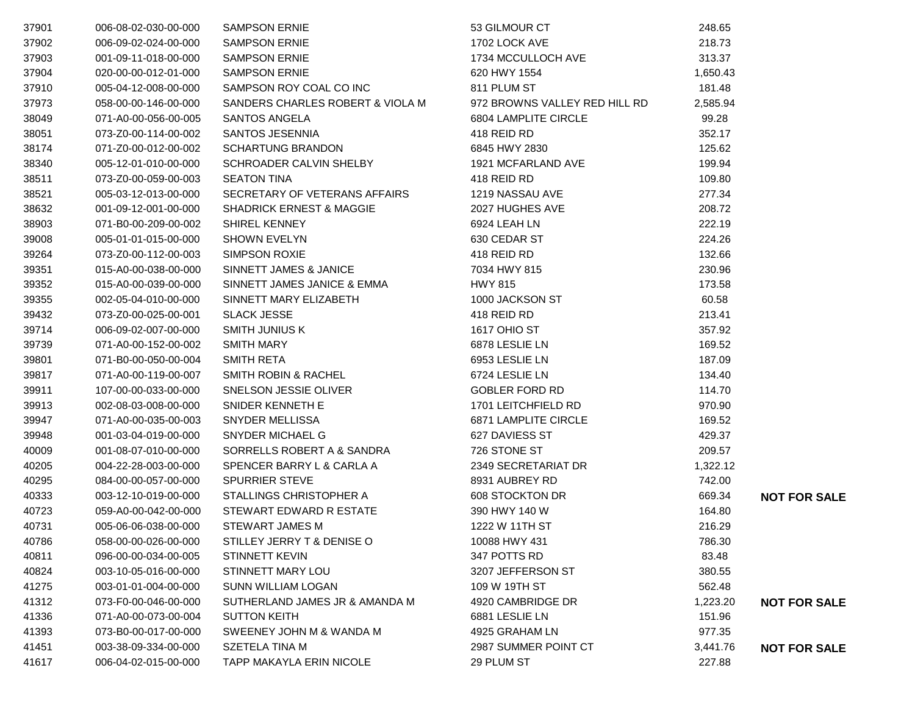| 37901 | 006-08-02-030-00-000 | <b>SAMPSON ERNIE</b>                | 53 GILMOUR CT                 | 248.65   |                     |
|-------|----------------------|-------------------------------------|-------------------------------|----------|---------------------|
| 37902 | 006-09-02-024-00-000 | <b>SAMPSON ERNIE</b>                | 1702 LOCK AVE                 | 218.73   |                     |
| 37903 | 001-09-11-018-00-000 | <b>SAMPSON ERNIE</b>                | 1734 MCCULLOCH AVE            | 313.37   |                     |
| 37904 | 020-00-00-012-01-000 | <b>SAMPSON ERNIE</b>                | 620 HWY 1554                  | 1,650.43 |                     |
| 37910 | 005-04-12-008-00-000 | SAMPSON ROY COAL CO INC             | 811 PLUM ST                   | 181.48   |                     |
| 37973 | 058-00-00-146-00-000 | SANDERS CHARLES ROBERT & VIOLA M    | 972 BROWNS VALLEY RED HILL RD | 2,585.94 |                     |
| 38049 | 071-A0-00-056-00-005 | SANTOS ANGELA                       | 6804 LAMPLITE CIRCLE          | 99.28    |                     |
| 38051 | 073-Z0-00-114-00-002 | SANTOS JESENNIA                     | 418 REID RD                   | 352.17   |                     |
| 38174 | 071-Z0-00-012-00-002 | <b>SCHARTUNG BRANDON</b>            | 6845 HWY 2830                 | 125.62   |                     |
| 38340 | 005-12-01-010-00-000 | SCHROADER CALVIN SHELBY             | 1921 MCFARLAND AVE            | 199.94   |                     |
| 38511 | 073-Z0-00-059-00-003 | <b>SEATON TINA</b>                  | 418 REID RD                   | 109.80   |                     |
| 38521 | 005-03-12-013-00-000 | SECRETARY OF VETERANS AFFAIRS       | 1219 NASSAU AVE               | 277.34   |                     |
| 38632 | 001-09-12-001-00-000 | <b>SHADRICK ERNEST &amp; MAGGIE</b> | 2027 HUGHES AVE               | 208.72   |                     |
| 38903 | 071-B0-00-209-00-002 | <b>SHIREL KENNEY</b>                | 6924 LEAH LN                  | 222.19   |                     |
| 39008 | 005-01-01-015-00-000 | <b>SHOWN EVELYN</b>                 | 630 CEDAR ST                  | 224.26   |                     |
| 39264 | 073-Z0-00-112-00-003 | <b>SIMPSON ROXIE</b>                | 418 REID RD                   | 132.66   |                     |
| 39351 | 015-A0-00-038-00-000 | SINNETT JAMES & JANICE              | 7034 HWY 815                  | 230.96   |                     |
| 39352 | 015-A0-00-039-00-000 | SINNETT JAMES JANICE & EMMA         | <b>HWY 815</b>                | 173.58   |                     |
| 39355 | 002-05-04-010-00-000 | SINNETT MARY ELIZABETH              | 1000 JACKSON ST               | 60.58    |                     |
| 39432 | 073-Z0-00-025-00-001 | <b>SLACK JESSE</b>                  | 418 REID RD                   | 213.41   |                     |
| 39714 | 006-09-02-007-00-000 | SMITH JUNIUS K                      | 1617 OHIO ST                  | 357.92   |                     |
| 39739 | 071-A0-00-152-00-002 | <b>SMITH MARY</b>                   | 6878 LESLIE LN                | 169.52   |                     |
| 39801 | 071-B0-00-050-00-004 | <b>SMITH RETA</b>                   | 6953 LESLIE LN                | 187.09   |                     |
| 39817 | 071-A0-00-119-00-007 | <b>SMITH ROBIN &amp; RACHEL</b>     | 6724 LESLIE LN                | 134.40   |                     |
| 39911 | 107-00-00-033-00-000 | SNELSON JESSIE OLIVER               | <b>GOBLER FORD RD</b>         | 114.70   |                     |
| 39913 | 002-08-03-008-00-000 | SNIDER KENNETH E                    | 1701 LEITCHFIELD RD           | 970.90   |                     |
| 39947 | 071-A0-00-035-00-003 | SNYDER MELLISSA                     | 6871 LAMPLITE CIRCLE          | 169.52   |                     |
| 39948 | 001-03-04-019-00-000 | SNYDER MICHAEL G                    | 627 DAVIESS ST                | 429.37   |                     |
| 40009 | 001-08-07-010-00-000 | SORRELLS ROBERT A & SANDRA          | 726 STONE ST                  | 209.57   |                     |
| 40205 | 004-22-28-003-00-000 | SPENCER BARRY L & CARLA A           | 2349 SECRETARIAT DR           | 1,322.12 |                     |
| 40295 | 084-00-00-057-00-000 | <b>SPURRIER STEVE</b>               | 8931 AUBREY RD                | 742.00   |                     |
| 40333 | 003-12-10-019-00-000 | STALLINGS CHRISTOPHER A             | 608 STOCKTON DR               | 669.34   | <b>NOT FOR SALE</b> |
| 40723 | 059-A0-00-042-00-000 | STEWART EDWARD R ESTATE             | 390 HWY 140 W                 | 164.80   |                     |
| 40731 | 005-06-06-038-00-000 | <b>STEWART JAMES M</b>              | 1222 W 11TH ST                | 216.29   |                     |
| 40786 | 058-00-00-026-00-000 | STILLEY JERRY T & DENISE O          | 10088 HWY 431                 | 786.30   |                     |
| 40811 | 096-00-00-034-00-005 | <b>STINNETT KEVIN</b>               | 347 POTTS RD                  | 83.48    |                     |
| 40824 | 003-10-05-016-00-000 | STINNETT MARY LOU                   | 3207 JEFFERSON ST             | 380.55   |                     |
| 41275 | 003-01-01-004-00-000 | <b>SUNN WILLIAM LOGAN</b>           | 109 W 19TH ST                 | 562.48   |                     |
| 41312 | 073-F0-00-046-00-000 | SUTHERLAND JAMES JR & AMANDA M      | 4920 CAMBRIDGE DR             | 1,223.20 | <b>NOT FOR SALE</b> |
| 41336 | 071-A0-00-073-00-004 | <b>SUTTON KEITH</b>                 | 6881 LESLIE LN                | 151.96   |                     |
| 41393 | 073-B0-00-017-00-000 | SWEENEY JOHN M & WANDA M            | 4925 GRAHAM LN                | 977.35   |                     |
| 41451 | 003-38-09-334-00-000 | SZETELA TINA M                      | 2987 SUMMER POINT CT          | 3,441.76 | <b>NOT FOR SALE</b> |
| 41617 | 006-04-02-015-00-000 | TAPP MAKAYLA ERIN NICOLE            | 29 PLUM ST                    | 227.88   |                     |